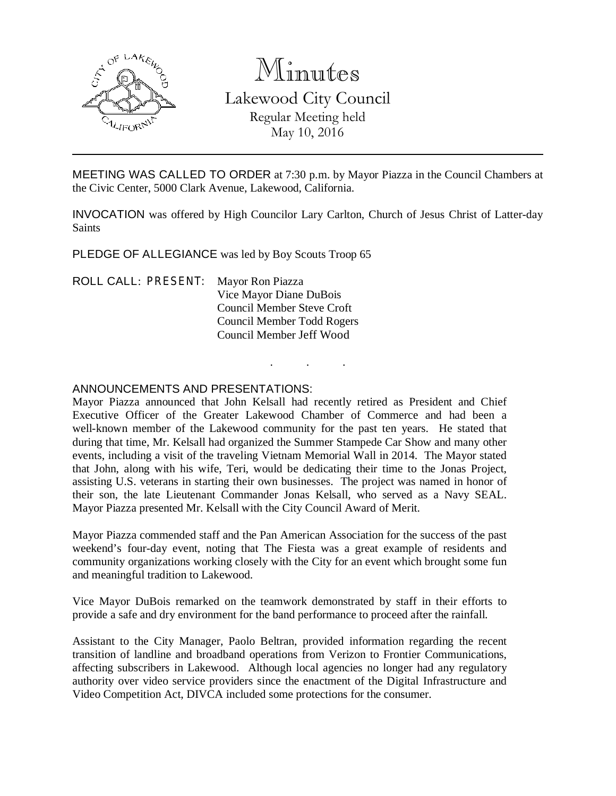

# Minutes

Lakewood City Council Regular Meeting held May 10, 2016

MEETING WAS CALLED TO ORDER at 7:30 p.m. by Mayor Piazza in the Council Chambers at the Civic Center, 5000 Clark Avenue, Lakewood, California.

INVOCATION was offered by High Councilor Lary Carlton, Church of Jesus Christ of Latter-day Saints

. . .

PLEDGE OF ALLEGIANCE was led by Boy Scouts Troop 65

ROLL CALL: PRESENT: Mayor Ron Piazza Vice Mayor Diane DuBois Council Member Steve Croft Council Member Todd Rogers Council Member Jeff Wood

### ANNOUNCEMENTS AND PRESENTATIONS:

Mayor Piazza announced that John Kelsall had recently retired as President and Chief Executive Officer of the Greater Lakewood Chamber of Commerce and had been a well-known member of the Lakewood community for the past ten years. He stated that during that time, Mr. Kelsall had organized the Summer Stampede Car Show and many other events, including a visit of the traveling Vietnam Memorial Wall in 2014. The Mayor stated that John, along with his wife, Teri, would be dedicating their time to the Jonas Project, assisting U.S. veterans in starting their own businesses. The project was named in honor of their son, the late Lieutenant Commander Jonas Kelsall, who served as a Navy SEAL. Mayor Piazza presented Mr. Kelsall with the City Council Award of Merit.

Mayor Piazza commended staff and the Pan American Association for the success of the past weekend's four-day event, noting that The Fiesta was a great example of residents and community organizations working closely with the City for an event which brought some fun and meaningful tradition to Lakewood.

Vice Mayor DuBois remarked on the teamwork demonstrated by staff in their efforts to provide a safe and dry environment for the band performance to proceed after the rainfall.

Assistant to the City Manager, Paolo Beltran, provided information regarding the recent transition of landline and broadband operations from Verizon to Frontier Communications, affecting subscribers in Lakewood. Although local agencies no longer had any regulatory authority over video service providers since the enactment of the Digital Infrastructure and Video Competition Act, DIVCA included some protections for the consumer.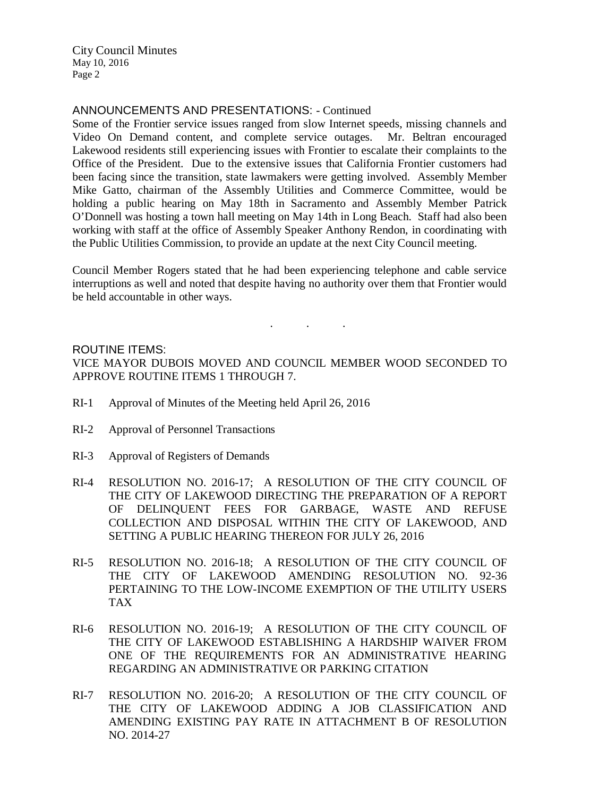#### ANNOUNCEMENTS AND PRESENTATIONS: - Continued

Some of the Frontier service issues ranged from slow Internet speeds, missing channels and Video On Demand content, and complete service outages. Mr. Beltran encouraged Lakewood residents still experiencing issues with Frontier to escalate their complaints to the Office of the President. Due to the extensive issues that California Frontier customers had been facing since the transition, state lawmakers were getting involved. Assembly Member Mike Gatto, chairman of the Assembly Utilities and Commerce Committee, would be holding a public hearing on May 18th in Sacramento and Assembly Member Patrick O'Donnell was hosting a town hall meeting on May 14th in Long Beach. Staff had also been working with staff at the office of Assembly Speaker Anthony Rendon, in coordinating with the Public Utilities Commission, to provide an update at the next City Council meeting.

Council Member Rogers stated that he had been experiencing telephone and cable service interruptions as well and noted that despite having no authority over them that Frontier would be held accountable in other ways.

. . .

#### ROUTINE ITEMS:

VICE MAYOR DUBOIS MOVED AND COUNCIL MEMBER WOOD SECONDED TO APPROVE ROUTINE ITEMS 1 THROUGH 7.

- RI-1 Approval of Minutes of the Meeting held April 26, 2016
- RI-2 Approval of Personnel Transactions
- RI-3 Approval of Registers of Demands
- RI-4 RESOLUTION NO. 2016-17; A RESOLUTION OF THE CITY COUNCIL OF THE CITY OF LAKEWOOD DIRECTING THE PREPARATION OF A REPORT OF DELINQUENT FEES FOR GARBAGE, WASTE AND REFUSE COLLECTION AND DISPOSAL WITHIN THE CITY OF LAKEWOOD, AND SETTING A PUBLIC HEARING THEREON FOR JULY 26, 2016
- RI-5 RESOLUTION NO. 2016-18; A RESOLUTION OF THE CITY COUNCIL OF THE CITY OF LAKEWOOD AMENDING RESOLUTION NO. 92-36 PERTAINING TO THE LOW-INCOME EXEMPTION OF THE UTILITY USERS TAX
- RI-6 RESOLUTION NO. 2016-19; A RESOLUTION OF THE CITY COUNCIL OF THE CITY OF LAKEWOOD ESTABLISHING A HARDSHIP WAIVER FROM ONE OF THE REQUIREMENTS FOR AN ADMINISTRATIVE HEARING REGARDING AN ADMINISTRATIVE OR PARKING CITATION
- RI-7 RESOLUTION NO. 2016-20; A RESOLUTION OF THE CITY COUNCIL OF THE CITY OF LAKEWOOD ADDING A JOB CLASSIFICATION AND AMENDING EXISTING PAY RATE IN ATTACHMENT B OF RESOLUTION NO. 2014-27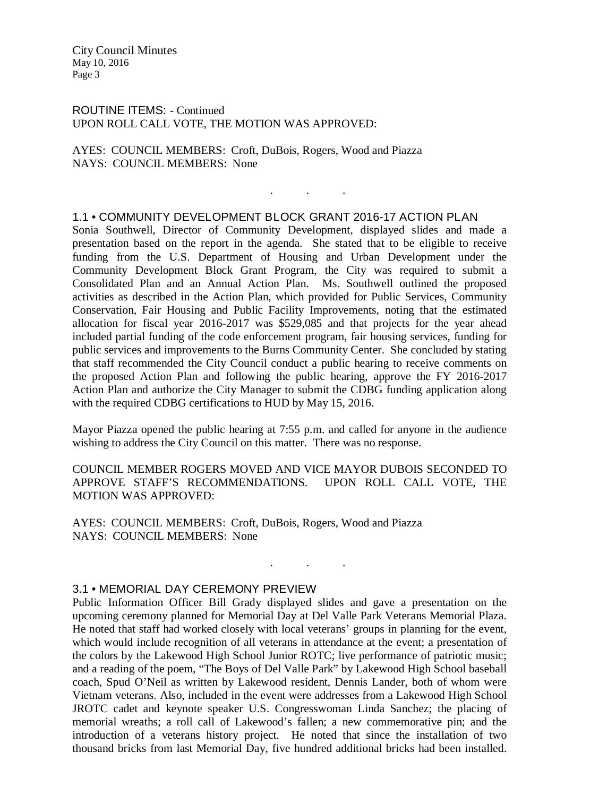ROUTINE ITEMS: - Continued UPON ROLL CALL VOTE, THE MOTION WAS APPROVED:

AYES: COUNCIL MEMBERS: Croft, DuBois, Rogers, Wood and Piazza NAYS: COUNCIL MEMBERS: None

#### 1.1 • COMMUNITY DEVELOPMENT BLOCK GRANT 2016-17 ACTION PLAN

. . .

Sonia Southwell, Director of Community Development, displayed slides and made a presentation based on the report in the agenda. She stated that to be eligible to receive funding from the U.S. Department of Housing and Urban Development under the Community Development Block Grant Program, the City was required to submit a Consolidated Plan and an Annual Action Plan. Ms. Southwell outlined the proposed activities as described in the Action Plan, which provided for Public Services, Community Conservation, Fair Housing and Public Facility Improvements, noting that the estimated allocation for fiscal year 2016-2017 was \$529,085 and that projects for the year ahead included partial funding of the code enforcement program, fair housing services, funding for public services and improvements to the Burns Community Center. She concluded by stating that staff recommended the City Council conduct a public hearing to receive comments on the proposed Action Plan and following the public hearing, approve the FY 2016-2017 Action Plan and authorize the City Manager to submit the CDBG funding application along with the required CDBG certifications to HUD by May 15, 2016.

Mayor Piazza opened the public hearing at 7:55 p.m. and called for anyone in the audience wishing to address the City Council on this matter. There was no response.

COUNCIL MEMBER ROGERS MOVED AND VICE MAYOR DUBOIS SECONDED TO APPROVE STAFF'S RECOMMENDATIONS. UPON ROLL CALL VOTE, THE MOTION WAS APPROVED:

. . .

AYES: COUNCIL MEMBERS: Croft, DuBois, Rogers, Wood and Piazza NAYS: COUNCIL MEMBERS: None

#### 3.1 • MEMORIAL DAY CEREMONY PREVIEW

Public Information Officer Bill Grady displayed slides and gave a presentation on the upcoming ceremony planned for Memorial Day at Del Valle Park Veterans Memorial Plaza. He noted that staff had worked closely with local veterans' groups in planning for the event, which would include recognition of all veterans in attendance at the event; a presentation of the colors by the Lakewood High School Junior ROTC; live performance of patriotic music; and a reading of the poem, "The Boys of Del Valle Park" by Lakewood High School baseball coach, Spud O'Neil as written by Lakewood resident, Dennis Lander, both of whom were Vietnam veterans. Also, included in the event were addresses from a Lakewood High School JROTC cadet and keynote speaker U.S. Congresswoman Linda Sanchez; the placing of memorial wreaths; a roll call of Lakewood's fallen; a new commemorative pin; and the introduction of a veterans history project. He noted that since the installation of two thousand bricks from last Memorial Day, five hundred additional bricks had been installed.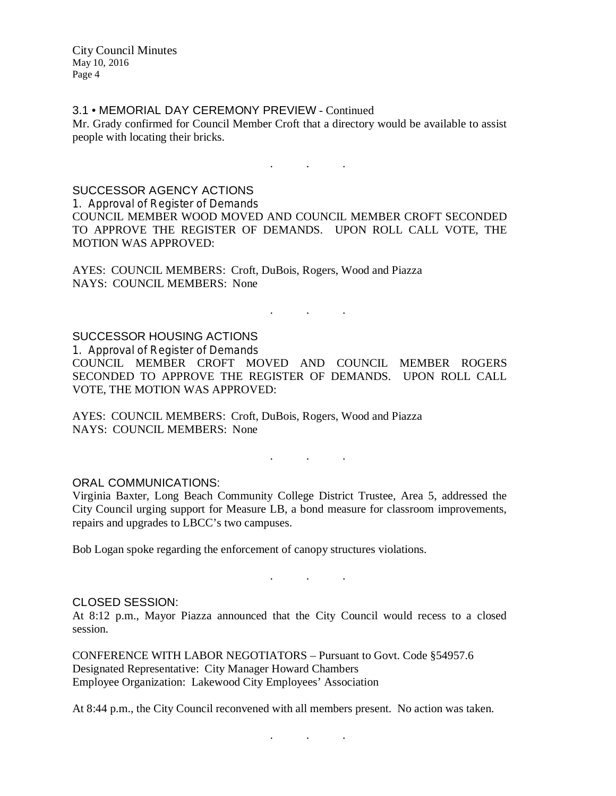#### 3.1 • MEMORIAL DAY CEREMONY PREVIEW - Continued

Mr. Grady confirmed for Council Member Croft that a directory would be available to assist people with locating their bricks.

. . .

#### SUCCESSOR AGENCY ACTIONS

1. Approval of Register of Demands COUNCIL MEMBER WOOD MOVED AND COUNCIL MEMBER CROFT SECONDED TO APPROVE THE REGISTER OF DEMANDS. UPON ROLL CALL VOTE, THE MOTION WAS APPROVED:

AYES: COUNCIL MEMBERS: Croft, DuBois, Rogers, Wood and Piazza NAYS: COUNCIL MEMBERS: None

## . . .

#### SUCCESSOR HOUSING ACTIONS

1. Approval of Register of Demands COUNCIL MEMBER CROFT MOVED AND COUNCIL MEMBER ROGERS SECONDED TO APPROVE THE REGISTER OF DEMANDS. UPON ROLL CALL VOTE, THE MOTION WAS APPROVED:

AYES: COUNCIL MEMBERS: Croft, DuBois, Rogers, Wood and Piazza NAYS: COUNCIL MEMBERS: None

#### ORAL COMMUNICATIONS:

Virginia Baxter, Long Beach Community College District Trustee, Area 5, addressed the City Council urging support for Measure LB, a bond measure for classroom improvements, repairs and upgrades to LBCC's two campuses.

. . .

Bob Logan spoke regarding the enforcement of canopy structures violations.

#### . . .

#### CLOSED SESSION:

At 8:12 p.m., Mayor Piazza announced that the City Council would recess to a closed session.

CONFERENCE WITH LABOR NEGOTIATORS – Pursuant to Govt. Code §54957.6 Designated Representative: City Manager Howard Chambers Employee Organization: Lakewood City Employees' Association

At 8:44 p.m., the City Council reconvened with all members present. No action was taken.

. . .